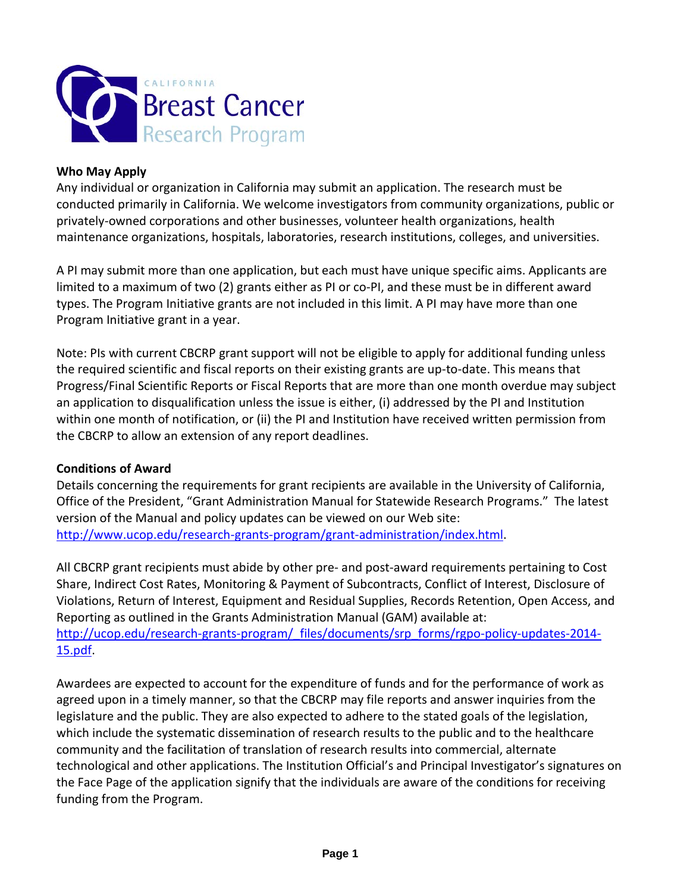

#### **Who May Apply**

Any individual or organization in California may submit an application. The research must be conducted primarily in California. We welcome investigators from community organizations, public or privately-owned corporations and other businesses, volunteer health organizations, health maintenance organizations, hospitals, laboratories, research institutions, colleges, and universities.

A PI may submit more than one application, but each must have unique specific aims. Applicants are limited to a maximum of two (2) grants either as PI or co-PI, and these must be in different award types. The Program Initiative grants are not included in this limit. A PI may have more than one Program Initiative grant in a year.

Note: PIs with current CBCRP grant support will not be eligible to apply for additional funding unless the required scientific and fiscal reports on their existing grants are up-to-date. This means that Progress/Final Scientific Reports or Fiscal Reports that are more than one month overdue may subject an application to disqualification unless the issue is either, (i) addressed by the PI and Institution within one month of notification, or (ii) the PI and Institution have received written permission from the CBCRP to allow an extension of any report deadlines.

#### **Conditions of Award**

Details concerning the requirements for grant recipients are available in the University of California, Office of the President, "Grant Administration Manual for Statewide Research Programs." The latest version of the Manual and policy updates can be viewed on our Web site: [http://www.ucop.edu/research-grants-program/grant-administration/index.html.](http://www.ucop.edu/research-grants-program/grant-administration/index.html)

All CBCRP grant recipients must abide by other pre- and post-award requirements pertaining to Cost Share, Indirect Cost Rates, Monitoring & Payment of Subcontracts, Conflict of Interest, Disclosure of Violations, Return of Interest, Equipment and Residual Supplies, Records Retention, Open Access, and Reporting as outlined in the Grants Administration Manual (GAM) available at: [http://ucop.edu/research-grants-program/\\_files/documents/srp\\_forms/rgpo-policy-updates-2014-](http://ucop.edu/research-grants-program/_files/documents/srp_forms/rgpo-policy-updates-2014-15.pdf) [15.pdf.](http://ucop.edu/research-grants-program/_files/documents/srp_forms/rgpo-policy-updates-2014-15.pdf)

Awardees are expected to account for the expenditure of funds and for the performance of work as agreed upon in a timely manner, so that the CBCRP may file reports and answer inquiries from the legislature and the public. They are also expected to adhere to the stated goals of the legislation, which include the systematic dissemination of research results to the public and to the healthcare community and the facilitation of translation of research results into commercial, alternate technological and other applications. The Institution Official's and Principal Investigator's signatures on the Face Page of the application signify that the individuals are aware of the conditions for receiving funding from the Program.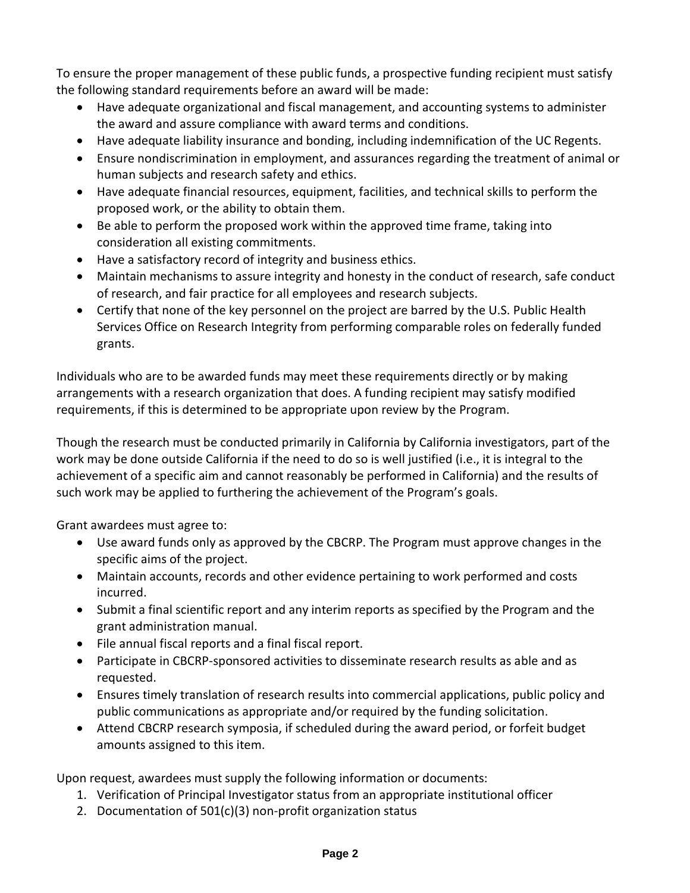To ensure the proper management of these public funds, a prospective funding recipient must satisfy the following standard requirements before an award will be made:

- Have adequate organizational and fiscal management, and accounting systems to administer the award and assure compliance with award terms and conditions.
- Have adequate liability insurance and bonding, including indemnification of the UC Regents.
- Ensure nondiscrimination in employment, and assurances regarding the treatment of animal or human subjects and research safety and ethics.
- Have adequate financial resources, equipment, facilities, and technical skills to perform the proposed work, or the ability to obtain them.
- Be able to perform the proposed work within the approved time frame, taking into consideration all existing commitments.
- Have a satisfactory record of integrity and business ethics.
- Maintain mechanisms to assure integrity and honesty in the conduct of research, safe conduct of research, and fair practice for all employees and research subjects.
- Certify that none of the key personnel on the project are barred by the U.S. Public Health Services Office on Research Integrity from performing comparable roles on federally funded grants.

Individuals who are to be awarded funds may meet these requirements directly or by making arrangements with a research organization that does. A funding recipient may satisfy modified requirements, if this is determined to be appropriate upon review by the Program.

Though the research must be conducted primarily in California by California investigators, part of the work may be done outside California if the need to do so is well justified (i.e., it is integral to the achievement of a specific aim and cannot reasonably be performed in California) and the results of such work may be applied to furthering the achievement of the Program's goals.

Grant awardees must agree to:

- Use award funds only as approved by the CBCRP. The Program must approve changes in the specific aims of the project.
- Maintain accounts, records and other evidence pertaining to work performed and costs incurred.
- Submit a final scientific report and any interim reports as specified by the Program and the grant administration manual.
- File annual fiscal reports and a final fiscal report.
- Participate in CBCRP-sponsored activities to disseminate research results as able and as requested.
- Ensures timely translation of research results into commercial applications, public policy and public communications as appropriate and/or required by the funding solicitation.
- Attend CBCRP research symposia, if scheduled during the award period, or forfeit budget amounts assigned to this item.

Upon request, awardees must supply the following information or documents:

- 1. Verification of Principal Investigator status from an appropriate institutional officer
- 2. Documentation of 501(c)(3) non-profit organization status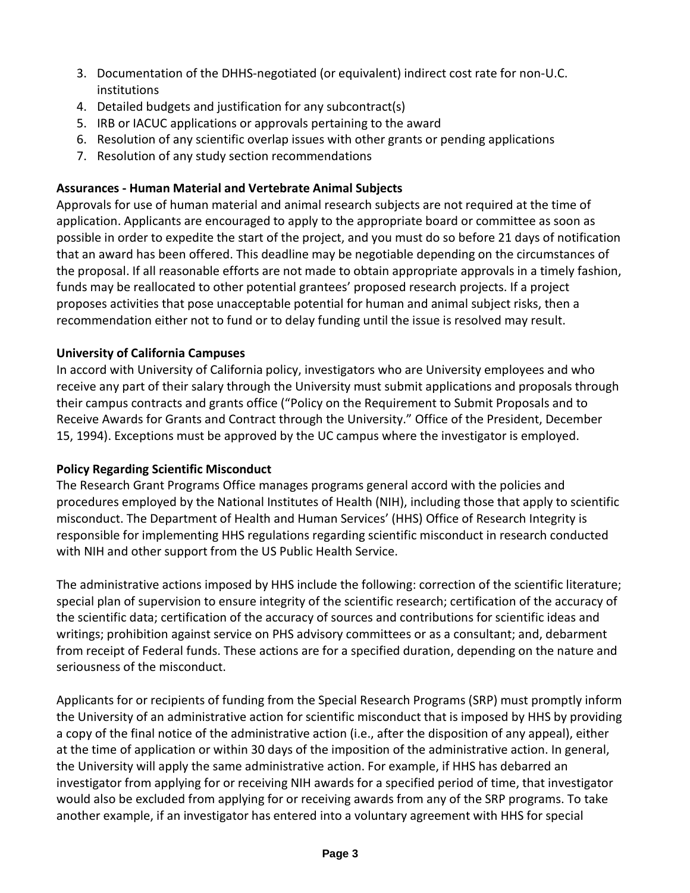- 3. Documentation of the DHHS-negotiated (or equivalent) indirect cost rate for non-U.C. institutions
- 4. Detailed budgets and justification for any subcontract(s)
- 5. IRB or IACUC applications or approvals pertaining to the award
- 6. Resolution of any scientific overlap issues with other grants or pending applications
- 7. Resolution of any study section recommendations

### **Assurances - Human Material and Vertebrate Animal Subjects**

Approvals for use of human material and animal research subjects are not required at the time of application. Applicants are encouraged to apply to the appropriate board or committee as soon as possible in order to expedite the start of the project, and you must do so before 21 days of notification that an award has been offered. This deadline may be negotiable depending on the circumstances of the proposal. If all reasonable efforts are not made to obtain appropriate approvals in a timely fashion, funds may be reallocated to other potential grantees' proposed research projects. If a project proposes activities that pose unacceptable potential for human and animal subject risks, then a recommendation either not to fund or to delay funding until the issue is resolved may result.

# **University of California Campuses**

In accord with University of California policy, investigators who are University employees and who receive any part of their salary through the University must submit applications and proposals through their campus contracts and grants office ("Policy on the Requirement to Submit Proposals and to Receive Awards for Grants and Contract through the University." Office of the President, December 15, 1994). Exceptions must be approved by the UC campus where the investigator is employed.

### **Policy Regarding Scientific Misconduct**

The Research Grant Programs Office manages programs general accord with the policies and procedures employed by the National Institutes of Health (NIH), including those that apply to scientific misconduct. The Department of Health and Human Services' (HHS) Office of Research Integrity is responsible for implementing HHS regulations regarding scientific misconduct in research conducted with NIH and other support from the US Public Health Service.

The administrative actions imposed by HHS include the following: correction of the scientific literature; special plan of supervision to ensure integrity of the scientific research; certification of the accuracy of the scientific data; certification of the accuracy of sources and contributions for scientific ideas and writings; prohibition against service on PHS advisory committees or as a consultant; and, debarment from receipt of Federal funds. These actions are for a specified duration, depending on the nature and seriousness of the misconduct.

Applicants for or recipients of funding from the Special Research Programs (SRP) must promptly inform the University of an administrative action for scientific misconduct that is imposed by HHS by providing a copy of the final notice of the administrative action (i.e., after the disposition of any appeal), either at the time of application or within 30 days of the imposition of the administrative action. In general, the University will apply the same administrative action. For example, if HHS has debarred an investigator from applying for or receiving NIH awards for a specified period of time, that investigator would also be excluded from applying for or receiving awards from any of the SRP programs. To take another example, if an investigator has entered into a voluntary agreement with HHS for special